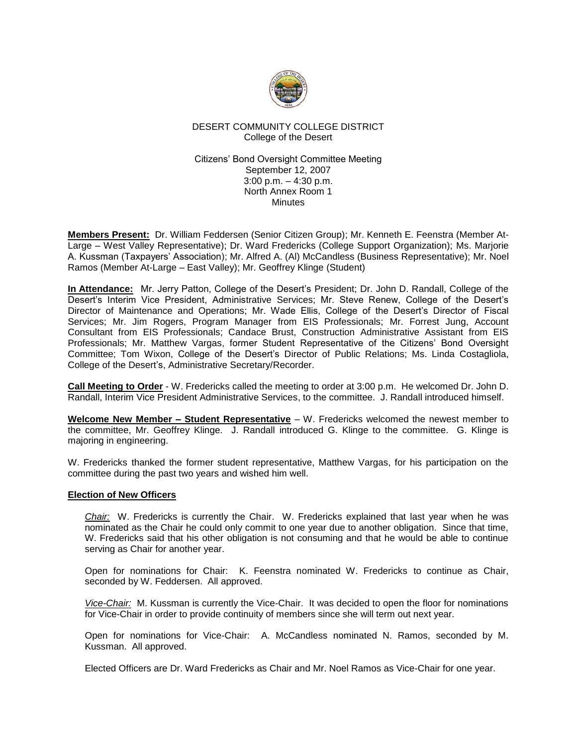

# DESERT COMMUNITY COLLEGE DISTRICT College of the Desert

Citizens' Bond Oversight Committee Meeting September 12, 2007 3:00 p.m. – 4:30 p.m. North Annex Room 1 **Minutes** 

**Members Present:** Dr. William Feddersen (Senior Citizen Group); Mr. Kenneth E. Feenstra (Member At-Large – West Valley Representative); Dr. Ward Fredericks (College Support Organization); Ms. Marjorie A. Kussman (Taxpayers' Association); Mr. Alfred A. (Al) McCandless (Business Representative); Mr. Noel Ramos (Member At-Large – East Valley); Mr. Geoffrey Klinge (Student)

**In Attendance:** Mr. Jerry Patton, College of the Desert's President; Dr. John D. Randall, College of the Desert's Interim Vice President, Administrative Services; Mr. Steve Renew, College of the Desert's Director of Maintenance and Operations; Mr. Wade Ellis, College of the Desert's Director of Fiscal Services; Mr. Jim Rogers, Program Manager from EIS Professionals; Mr. Forrest Jung, Account Consultant from EIS Professionals; Candace Brust, Construction Administrative Assistant from EIS Professionals; Mr. Matthew Vargas, former Student Representative of the Citizens' Bond Oversight Committee; Tom Wixon, College of the Desert's Director of Public Relations; Ms. Linda Costagliola, College of the Desert's, Administrative Secretary/Recorder.

**Call Meeting to Order** - W. Fredericks called the meeting to order at 3:00 p.m. He welcomed Dr. John D. Randall, Interim Vice President Administrative Services, to the committee. J. Randall introduced himself.

**Welcome New Member – Student Representative** – W. Fredericks welcomed the newest member to the committee, Mr. Geoffrey Klinge. J. Randall introduced G. Klinge to the committee. G. Klinge is majoring in engineering.

W. Fredericks thanked the former student representative, Matthew Vargas, for his participation on the committee during the past two years and wished him well.

### **Election of New Officers**

*Chair:* W. Fredericks is currently the Chair. W. Fredericks explained that last year when he was nominated as the Chair he could only commit to one year due to another obligation. Since that time, W. Fredericks said that his other obligation is not consuming and that he would be able to continue serving as Chair for another year.

Open for nominations for Chair: K. Feenstra nominated W. Fredericks to continue as Chair, seconded by W. Feddersen. All approved.

*Vice-Chair:* M. Kussman is currently the Vice-Chair. It was decided to open the floor for nominations for Vice-Chair in order to provide continuity of members since she will term out next year.

Open for nominations for Vice-Chair: A. McCandless nominated N. Ramos, seconded by M. Kussman. All approved.

Elected Officers are Dr. Ward Fredericks as Chair and Mr. Noel Ramos as Vice-Chair for one year.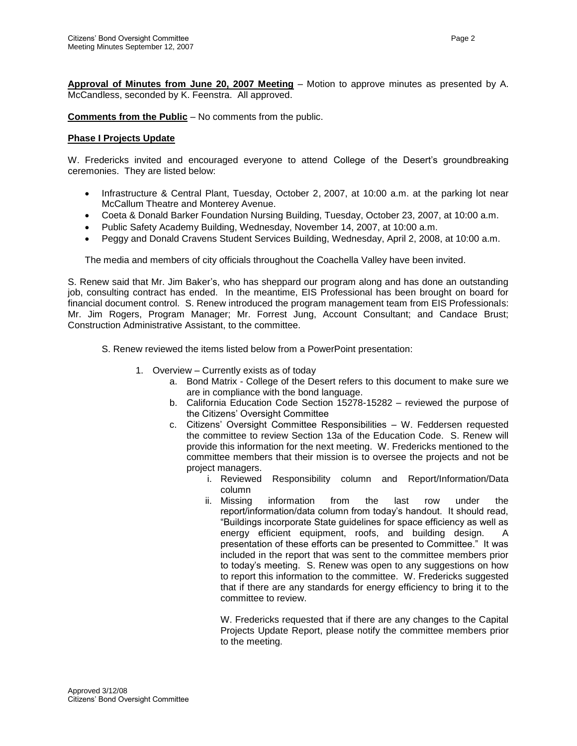**Approval of Minutes from June 20, 2007 Meeting** – Motion to approve minutes as presented by A. McCandless, seconded by K. Feenstra. All approved.

**Comments from the Public** – No comments from the public.

# **Phase I Projects Update**

W. Fredericks invited and encouraged everyone to attend College of the Desert's groundbreaking ceremonies. They are listed below:

- Infrastructure & Central Plant, Tuesday, October 2, 2007, at 10:00 a.m. at the parking lot near McCallum Theatre and Monterey Avenue.
- Coeta & Donald Barker Foundation Nursing Building, Tuesday, October 23, 2007, at 10:00 a.m.
- Public Safety Academy Building, Wednesday, November 14, 2007, at 10:00 a.m.
- Peggy and Donald Cravens Student Services Building, Wednesday, April 2, 2008, at 10:00 a.m.

The media and members of city officials throughout the Coachella Valley have been invited.

S. Renew said that Mr. Jim Baker's, who has sheppard our program along and has done an outstanding job, consulting contract has ended. In the meantime, EIS Professional has been brought on board for financial document control. S. Renew introduced the program management team from EIS Professionals: Mr. Jim Rogers, Program Manager; Mr. Forrest Jung, Account Consultant; and Candace Brust; Construction Administrative Assistant, to the committee.

- S. Renew reviewed the items listed below from a PowerPoint presentation:
	- 1. Overview Currently exists as of today
		- a. Bond Matrix College of the Desert refers to this document to make sure we are in compliance with the bond language.
		- b. California Education Code Section 15278-15282 reviewed the purpose of the Citizens' Oversight Committee
		- c. Citizens' Oversight Committee Responsibilities W. Feddersen requested the committee to review Section 13a of the Education Code. S. Renew will provide this information for the next meeting. W. Fredericks mentioned to the committee members that their mission is to oversee the projects and not be project managers.
			- i. Reviewed Responsibility column and Report/Information/Data column
			- ii. Missing information from the last row under the report/information/data column from today's handout. It should read, "Buildings incorporate State guidelines for space efficiency as well as energy efficient equipment, roofs, and building design. A presentation of these efforts can be presented to Committee." It was included in the report that was sent to the committee members prior to today's meeting. S. Renew was open to any suggestions on how to report this information to the committee. W. Fredericks suggested that if there are any standards for energy efficiency to bring it to the committee to review.

W. Fredericks requested that if there are any changes to the Capital Projects Update Report, please notify the committee members prior to the meeting.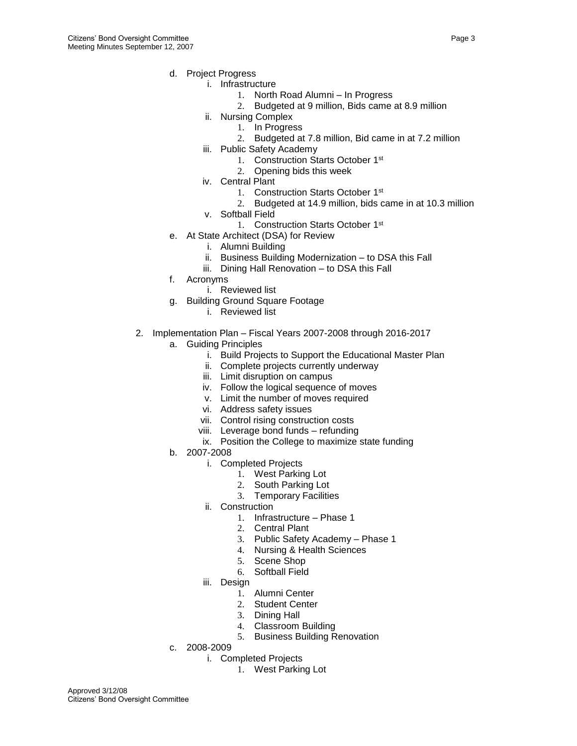- d. Project Progress
	- i. Infrastructure
		- 1. North Road Alumni In Progress
		- 2. Budgeted at 9 million, Bids came at 8.9 million
		- ii. Nursing Complex
			- 1. In Progress
			- 2. Budgeted at 7.8 million, Bid came in at 7.2 million
	- iii. Public Safety Academy
		- 1. Construction Starts October 1st
		- 2. Opening bids this week
	- iv. Central Plant
		- 1. Construction Starts October 1st
		- 2. Budgeted at 14.9 million, bids came in at 10.3 million
	- v. Softball Field
		- 1. Construction Starts October 1st
- e. At State Architect (DSA) for Review
	- i. Alumni Building
	- ii. Business Building Modernization to DSA this Fall
	- iii. Dining Hall Renovation to DSA this Fall
- f. Acronyms
	- i. Reviewed list
- g. Building Ground Square Footage
	- i. Reviewed list
- 2. Implementation Plan Fiscal Years 2007-2008 through 2016-2017
	- a. Guiding Principles
		- i. Build Projects to Support the Educational Master Plan
		- ii. Complete projects currently underway
		- iii. Limit disruption on campus
		- iv. Follow the logical sequence of moves
		- v. Limit the number of moves required
		- vi. Address safety issues
		- vii. Control rising construction costs
		- viii. Leverage bond funds refunding
		- ix. Position the College to maximize state funding
	- b. 2007-2008
		- i. Completed Projects
			- 1. West Parking Lot
			- 2. South Parking Lot
			- 3. Temporary Facilities
		- ii. Construction
			- 1. Infrastructure Phase 1
			- 2. Central Plant
			- 3. Public Safety Academy Phase 1
			- 4. Nursing & Health Sciences
			- 5. Scene Shop
			- 6. Softball Field
		- iii. Design
			- 1. Alumni Center
			- 2. Student Center
			- 3. Dining Hall
			- 4. Classroom Building
			- 5. Business Building Renovation
	- c. 2008-2009
		- i. Completed Projects
			- 1. West Parking Lot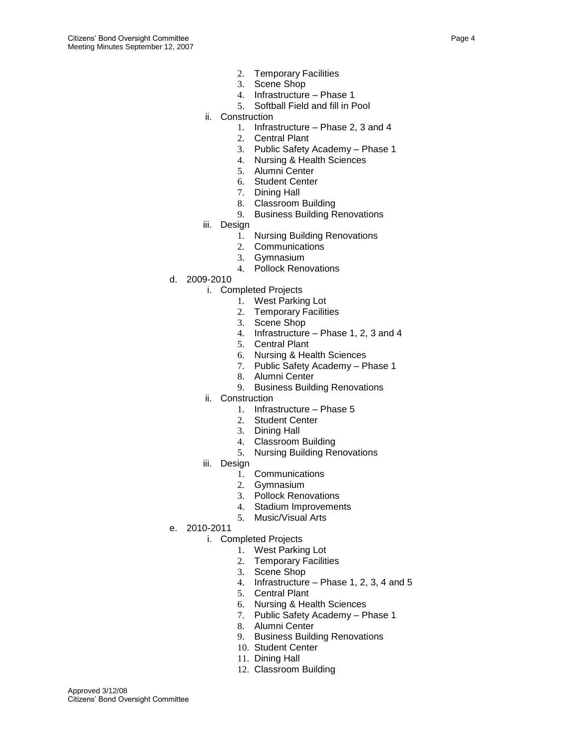- 2. Temporary Facilities
- 3. Scene Shop
- 4. Infrastructure Phase 1
- 5. Softball Field and fill in Pool
- ii. Construction
	- 1. Infrastructure Phase 2, 3 and 4
	- 2. Central Plant
	- 3. Public Safety Academy Phase 1
	- 4. Nursing & Health Sciences
	- 5. Alumni Center
	- 6. Student Center
	- 7. Dining Hall
	- 8. Classroom Building
	- 9. Business Building Renovations
- iii. Design
	- 1. Nursing Building Renovations
	- 2. Communications
	- 3. Gymnasium
	- 4. Pollock Renovations
- d. 2009-2010
	- i. Completed Projects
		- 1. West Parking Lot
		- 2. Temporary Facilities
		- 3. Scene Shop
		- 4. Infrastructure Phase 1, 2, 3 and 4
		- 5. Central Plant
		- 6. Nursing & Health Sciences
		- 7. Public Safety Academy Phase 1
		- 8. Alumni Center
		- 9. Business Building Renovations
	- ii. Construction
		- 1. Infrastructure Phase 5
		- 2. Student Center
		- 3. Dining Hall
		- 4. Classroom Building
		- 5. Nursing Building Renovations
	- iii. Design
		- 1. Communications
		- 2. Gymnasium
		- 3. Pollock Renovations
		- 4. Stadium Improvements
		- 5. Music/Visual Arts
- e. 2010-2011
	- i. Completed Projects
		- 1. West Parking Lot
		- 2. Temporary Facilities
		- 3. Scene Shop
		- 4. Infrastructure Phase 1, 2, 3, 4 and 5
		- 5. Central Plant
		- 6. Nursing & Health Sciences
		- 7. Public Safety Academy Phase 1
		- 8. Alumni Center
		- 9. Business Building Renovations
		- 10. Student Center
		- 11. Dining Hall
		- 12. Classroom Building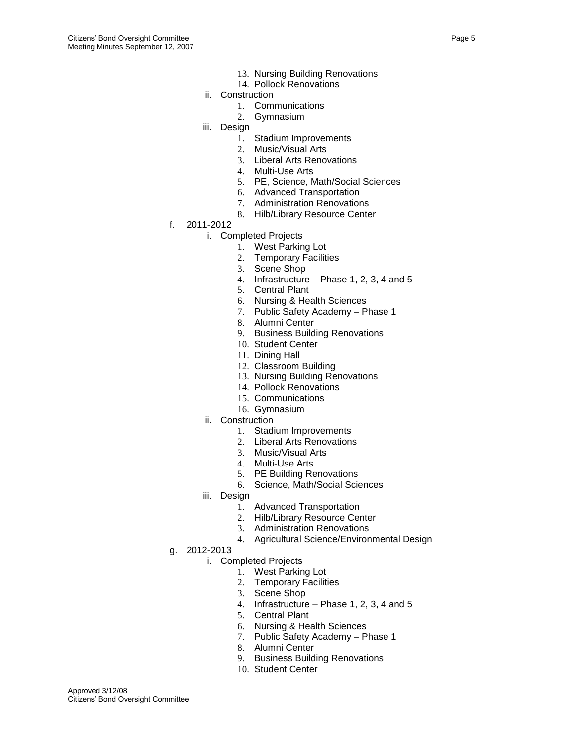- 13. Nursing Building Renovations
- 14. Pollock Renovations
- ii. Construction
	- 1. Communications
	- 2. Gymnasium
- iii. Design
	- 1. Stadium Improvements
	- 2. Music/Visual Arts
	- 3. Liberal Arts Renovations
	- 4. Multi-Use Arts
	- 5. PE, Science, Math/Social Sciences
	- 6. Advanced Transportation
	- 7. Administration Renovations
	- 8. Hilb/Library Resource Center
- f. 2011-2012
	- i. Completed Projects
		- 1. West Parking Lot
		- 2. Temporary Facilities
		- 3. Scene Shop
		- 4. Infrastructure Phase 1, 2, 3, 4 and 5
		- 5. Central Plant
		- 6. Nursing & Health Sciences
		- 7. Public Safety Academy Phase 1
		- 8. Alumni Center
		- 9. Business Building Renovations
		- 10. Student Center
		- 11. Dining Hall
		- 12. Classroom Building
		- 13. Nursing Building Renovations
		- 14. Pollock Renovations
		- 15. Communications
		- 16. Gymnasium
	- ii. Construction
		- 1. Stadium Improvements
		- 2. Liberal Arts Renovations
		- 3. Music/Visual Arts
		- 4. Multi-Use Arts
		- 5. PE Building Renovations
		- 6. Science, Math/Social Sciences
	- iii. Design
		- 1. Advanced Transportation
		- 2. Hilb/Library Resource Center
		- 3. Administration Renovations
		- 4. Agricultural Science/Environmental Design
- g. 2012-2013
	- i. Completed Projects
		- 1. West Parking Lot
		- 2. Temporary Facilities
		- 3. Scene Shop
		- 4. Infrastructure Phase 1, 2, 3, 4 and 5
		- 5. Central Plant
		- 6. Nursing & Health Sciences
		- 7. Public Safety Academy Phase 1
		- 8. Alumni Center
		- 9. Business Building Renovations
		- 10. Student Center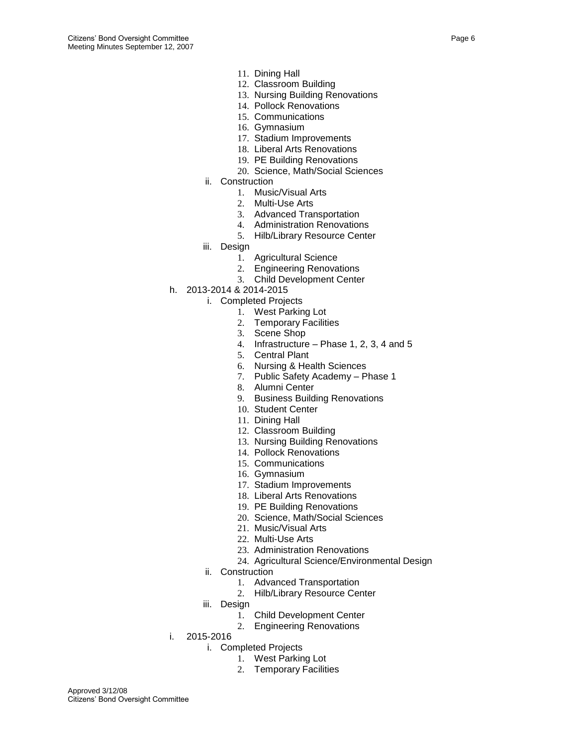- 11. Dining Hall
- 12. Classroom Building
- 13. Nursing Building Renovations
- 14. Pollock Renovations
- 15. Communications
- 16. Gymnasium
- 17. Stadium Improvements
- 18. Liberal Arts Renovations
- 19. PE Building Renovations
- 20. Science, Math/Social Sciences
- ii. Construction
	- 1. Music/Visual Arts
	- 2. Multi-Use Arts
	- 3. Advanced Transportation
	- 4. Administration Renovations
	- 5. Hilb/Library Resource Center
- iii. Design
	- 1. Agricultural Science
	- 2. Engineering Renovations
	- 3. Child Development Center
- h. 2013-2014 & 2014-2015
	- i. Completed Projects
		- 1. West Parking Lot
		- 2. Temporary Facilities
		- 3. Scene Shop
		- 4. Infrastructure Phase 1, 2, 3, 4 and 5
		- 5. Central Plant
		- 6. Nursing & Health Sciences
		- 7. Public Safety Academy Phase 1
		- 8. Alumni Center
		- 9. Business Building Renovations
		- 10. Student Center
		- 11. Dining Hall
		- 12. Classroom Building
		- 13. Nursing Building Renovations
		- 14. Pollock Renovations
		- 15. Communications
		- 16. Gymnasium
		- 17. Stadium Improvements
		- 18. Liberal Arts Renovations
		- 19. PE Building Renovations
		- 20. Science, Math/Social Sciences
		- 21. Music/Visual Arts
		- 22. Multi-Use Arts
		- 23. Administration Renovations
		- 24. Agricultural Science/Environmental Design
	- ii. Construction
		- 1. Advanced Transportation
		- 2. Hilb/Library Resource Center
	- iii. Design
		- 1. Child Development Center
		- 2. Engineering Renovations
- i. 2015-2016
	- i. Completed Projects
		- 1. West Parking Lot
		- 2. Temporary Facilities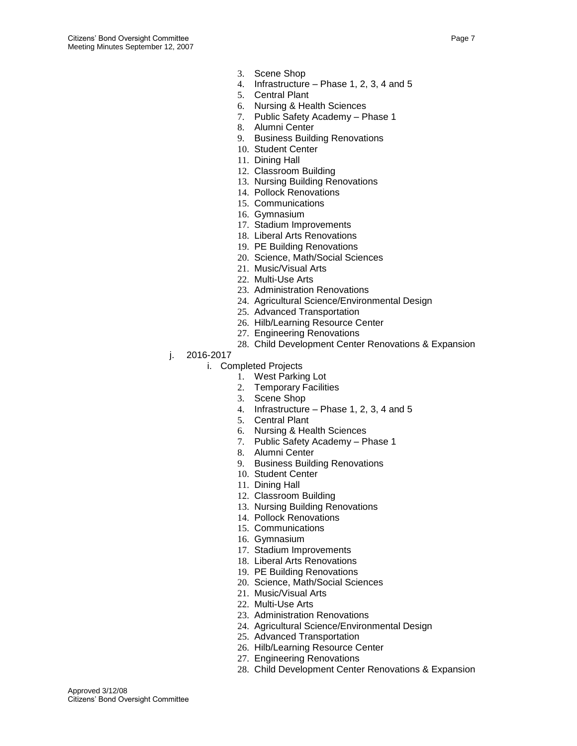- 3. Scene Shop
- 4. Infrastructure Phase 1, 2, 3, 4 and 5
- 5. Central Plant
- 6. Nursing & Health Sciences
- 7. Public Safety Academy Phase 1
- 8. Alumni Center
- 9. Business Building Renovations
- 10. Student Center
- 11. Dining Hall
- 12. Classroom Building
- 13. Nursing Building Renovations
- 14. Pollock Renovations
- 15. Communications
- 16. Gymnasium
- 17. Stadium Improvements
- 18. Liberal Arts Renovations
- 19. PE Building Renovations
- 20. Science, Math/Social Sciences
- 21. Music/Visual Arts
- 22. Multi-Use Arts
- 23. Administration Renovations
- 24. Agricultural Science/Environmental Design
- 25. Advanced Transportation
- 26. Hilb/Learning Resource Center
- 27. Engineering Renovations
- 28. Child Development Center Renovations & Expansion
- j. 2016-2017
	- i. Completed Projects
		- 1. West Parking Lot
		- 2. Temporary Facilities
		- 3. Scene Shop
		- 4. Infrastructure Phase 1, 2, 3, 4 and 5
		- 5. Central Plant
		- 6. Nursing & Health Sciences
		- 7. Public Safety Academy Phase 1
		- 8. Alumni Center
		- 9. Business Building Renovations
		- 10. Student Center
		- 11. Dining Hall
		- 12. Classroom Building
		- 13. Nursing Building Renovations
		- 14. Pollock Renovations
		- 15. Communications
		- 16. Gymnasium
		- 17. Stadium Improvements
		- 18. Liberal Arts Renovations
		- 19. PE Building Renovations
		- 20. Science, Math/Social Sciences
		- 21. Music/Visual Arts
		- 22. Multi-Use Arts
		- 23. Administration Renovations
		- 24. Agricultural Science/Environmental Design
		- 25. Advanced Transportation
		- 26. Hilb/Learning Resource Center
		- 27. Engineering Renovations
		- 28. Child Development Center Renovations & Expansion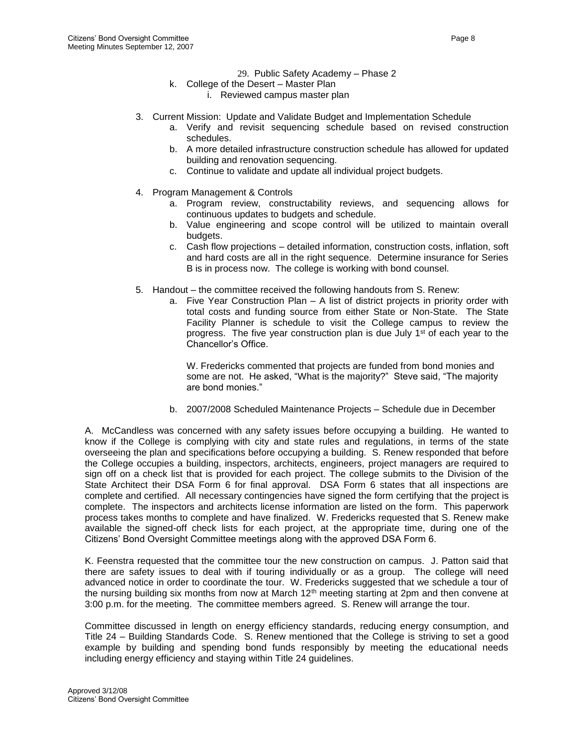- 29. Public Safety Academy Phase 2
- k. College of the Desert Master Plan
	- i. Reviewed campus master plan
- 3. Current Mission: Update and Validate Budget and Implementation Schedule
	- a. Verify and revisit sequencing schedule based on revised construction schedules.
	- b. A more detailed infrastructure construction schedule has allowed for updated building and renovation sequencing.
	- c. Continue to validate and update all individual project budgets.
- 4. Program Management & Controls
	- a. Program review, constructability reviews, and sequencing allows for continuous updates to budgets and schedule.
	- b. Value engineering and scope control will be utilized to maintain overall budgets.
	- c. Cash flow projections detailed information, construction costs, inflation, soft and hard costs are all in the right sequence. Determine insurance for Series B is in process now. The college is working with bond counsel.
- 5. Handout the committee received the following handouts from S. Renew:
	- a. Five Year Construction Plan A list of district projects in priority order with total costs and funding source from either State or Non-State. The State Facility Planner is schedule to visit the College campus to review the progress. The five year construction plan is due July 1<sup>st</sup> of each year to the Chancellor's Office.

W. Fredericks commented that projects are funded from bond monies and some are not. He asked, "What is the majority?" Steve said, "The majority are bond monies."

b. 2007/2008 Scheduled Maintenance Projects – Schedule due in December

A. McCandless was concerned with any safety issues before occupying a building. He wanted to know if the College is complying with city and state rules and regulations, in terms of the state overseeing the plan and specifications before occupying a building. S. Renew responded that before the College occupies a building, inspectors, architects, engineers, project managers are required to sign off on a check list that is provided for each project. The college submits to the Division of the State Architect their DSA Form 6 for final approval. DSA Form 6 states that all inspections are complete and certified. All necessary contingencies have signed the form certifying that the project is complete. The inspectors and architects license information are listed on the form. This paperwork process takes months to complete and have finalized. W. Fredericks requested that S. Renew make available the signed-off check lists for each project, at the appropriate time, during one of the Citizens' Bond Oversight Committee meetings along with the approved DSA Form 6.

K. Feenstra requested that the committee tour the new construction on campus. J. Patton said that there are safety issues to deal with if touring individually or as a group. The college will need advanced notice in order to coordinate the tour. W. Fredericks suggested that we schedule a tour of the nursing building six months from now at March  $12<sup>th</sup>$  meeting starting at 2pm and then convene at 3:00 p.m. for the meeting. The committee members agreed. S. Renew will arrange the tour.

Committee discussed in length on energy efficiency standards, reducing energy consumption, and Title 24 – Building Standards Code. S. Renew mentioned that the College is striving to set a good example by building and spending bond funds responsibly by meeting the educational needs including energy efficiency and staying within Title 24 guidelines.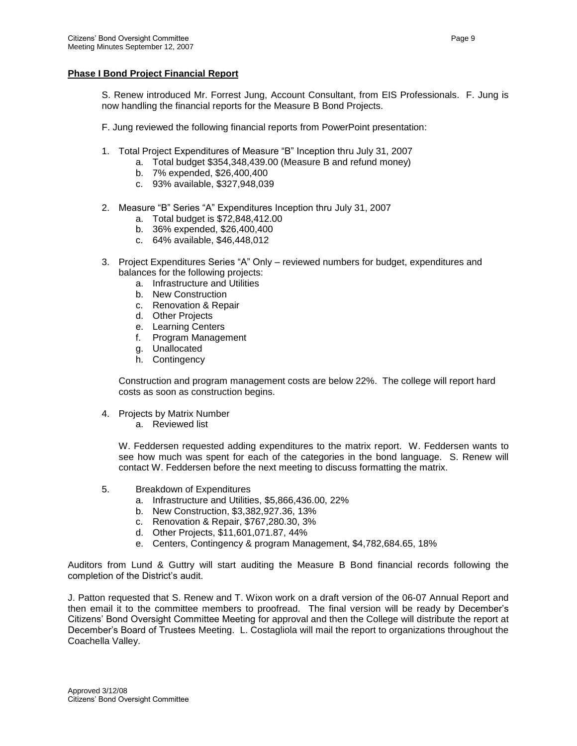### **Phase I Bond Project Financial Report**

S. Renew introduced Mr. Forrest Jung, Account Consultant, from EIS Professionals. F. Jung is now handling the financial reports for the Measure B Bond Projects.

F. Jung reviewed the following financial reports from PowerPoint presentation:

- 1. Total Project Expenditures of Measure "B" Inception thru July 31, 2007
	- a. Total budget \$354,348,439.00 (Measure B and refund money)
	- b. 7% expended, \$26,400,400
	- c. 93% available, \$327,948,039
- 2. Measure "B" Series "A" Expenditures Inception thru July 31, 2007
	- a. Total budget is \$72,848,412.00
	- b. 36% expended, \$26,400,400
	- c. 64% available, \$46,448,012
- 3. Project Expenditures Series "A" Only reviewed numbers for budget, expenditures and balances for the following projects:
	- a. Infrastructure and Utilities
	- b. New Construction
	- c. Renovation & Repair
	- d. Other Projects
	- e. Learning Centers
	- f. Program Management
	- g. Unallocated
	- h. Contingency

Construction and program management costs are below 22%. The college will report hard costs as soon as construction begins.

- 4. Projects by Matrix Number
	- a. Reviewed list

W. Feddersen requested adding expenditures to the matrix report. W. Feddersen wants to see how much was spent for each of the categories in the bond language. S. Renew will contact W. Feddersen before the next meeting to discuss formatting the matrix.

- 5. Breakdown of Expenditures
	- a. Infrastructure and Utilities, \$5,866,436.00, 22%
	- b. New Construction, \$3,382,927.36, 13%
	- c. Renovation & Repair, \$767,280.30, 3%
	- d. Other Projects, \$11,601,071.87, 44%
	- e. Centers, Contingency & program Management, \$4,782,684.65, 18%

Auditors from Lund & Guttry will start auditing the Measure B Bond financial records following the completion of the District's audit.

J. Patton requested that S. Renew and T. Wixon work on a draft version of the 06-07 Annual Report and then email it to the committee members to proofread. The final version will be ready by December's Citizens' Bond Oversight Committee Meeting for approval and then the College will distribute the report at December's Board of Trustees Meeting. L. Costagliola will mail the report to organizations throughout the Coachella Valley.